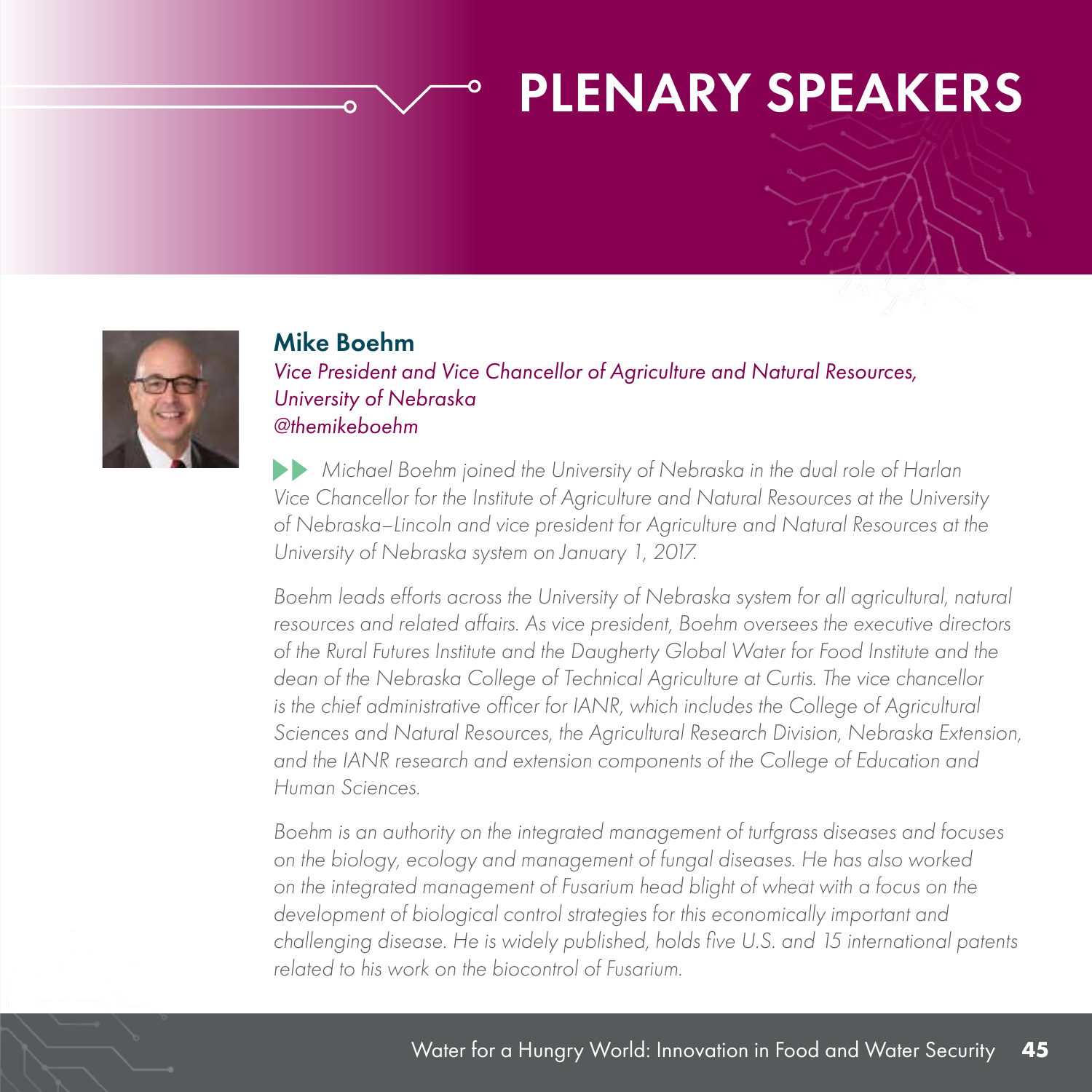#### PLENARY SPEAKERS



#### Mike Boehm

*Vice President and Vice Chancellor of Agriculture and Natural Resources, University of Nebraska @themikeboehm*

 *Michael Boehm joined the University of Nebraska in the dual role of Harlan Vice Chancellor for the Institute of Agriculture and Natural Resources at the University of Nebraska–Lincoln and vice president for Agriculture and Natural Resources at the University of Nebraska system on January 1, 2017.*

*Boehm leads efforts across the University of Nebraska system for all agricultural, natural resources and related affairs. As vice president, Boehm oversees the executive directors of the Rural Futures Institute and the Daugherty Global Water for Food Institute and the dean of the Nebraska College of Technical Agriculture at Curtis. The vice chancellor*  is the chief administrative officer for IANR, which includes the College of Agricultural *Sciences and Natural Resources, the Agricultural Research Division, Nebraska Extension, and the IANR research and extension components of the College of Education and Human Sciences.*

*Boehm is an authority on the integrated management of turfgrass diseases and focuses on the biology, ecology and management of fungal diseases. He has also worked on the integrated management of Fusarium head blight of wheat with a focus on the development of biological control strategies for this economically important and challenging disease. He is widely published, holds five U.S. and 15 international patents related to his work on the biocontrol of Fusarium.*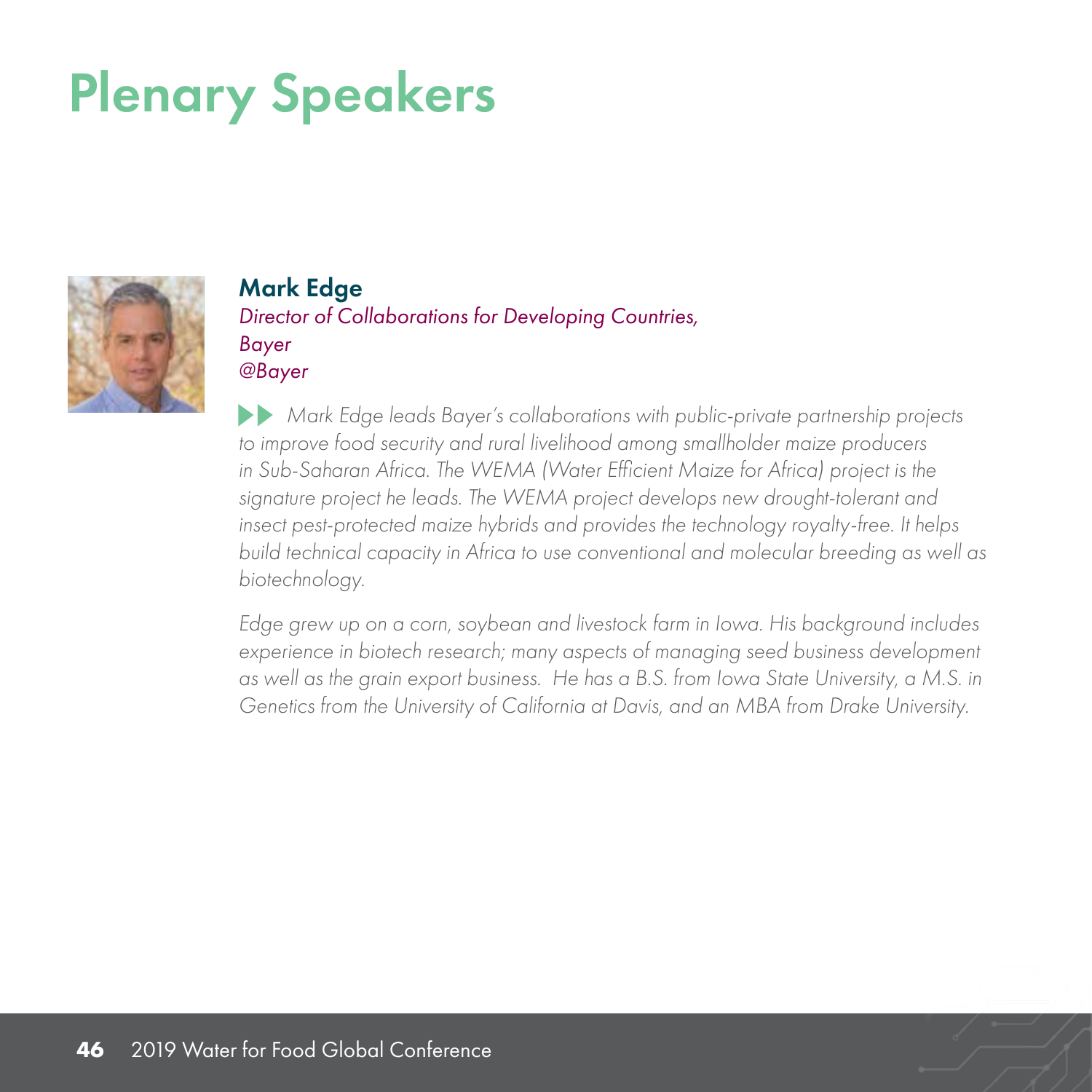

Mark Edge *Director of Collaborations for Developing Countries, Bayer @Bayer*

 *Mark Edge leads Bayer's collaborations with public-private partnership projects to improve food security and rural livelihood among smallholder maize producers*  in Sub-Saharan Africa. The WEMA (Water Efficient Maize for Africa) project is the *signature project he leads. The WEMA project develops new drought-tolerant and insect pest-protected maize hybrids and provides the technology royalty-free. It helps build technical capacity in Africa to use conventional and molecular breeding as well as biotechnology.*

*Edge grew up on a corn, soybean and livestock farm in Iowa. His background includes experience in biotech research; many aspects of managing seed business development as well as the grain export business. He has a B.S. from Iowa State University, a M.S. in Genetics from the University of California at Davis, and an MBA from Drake University.*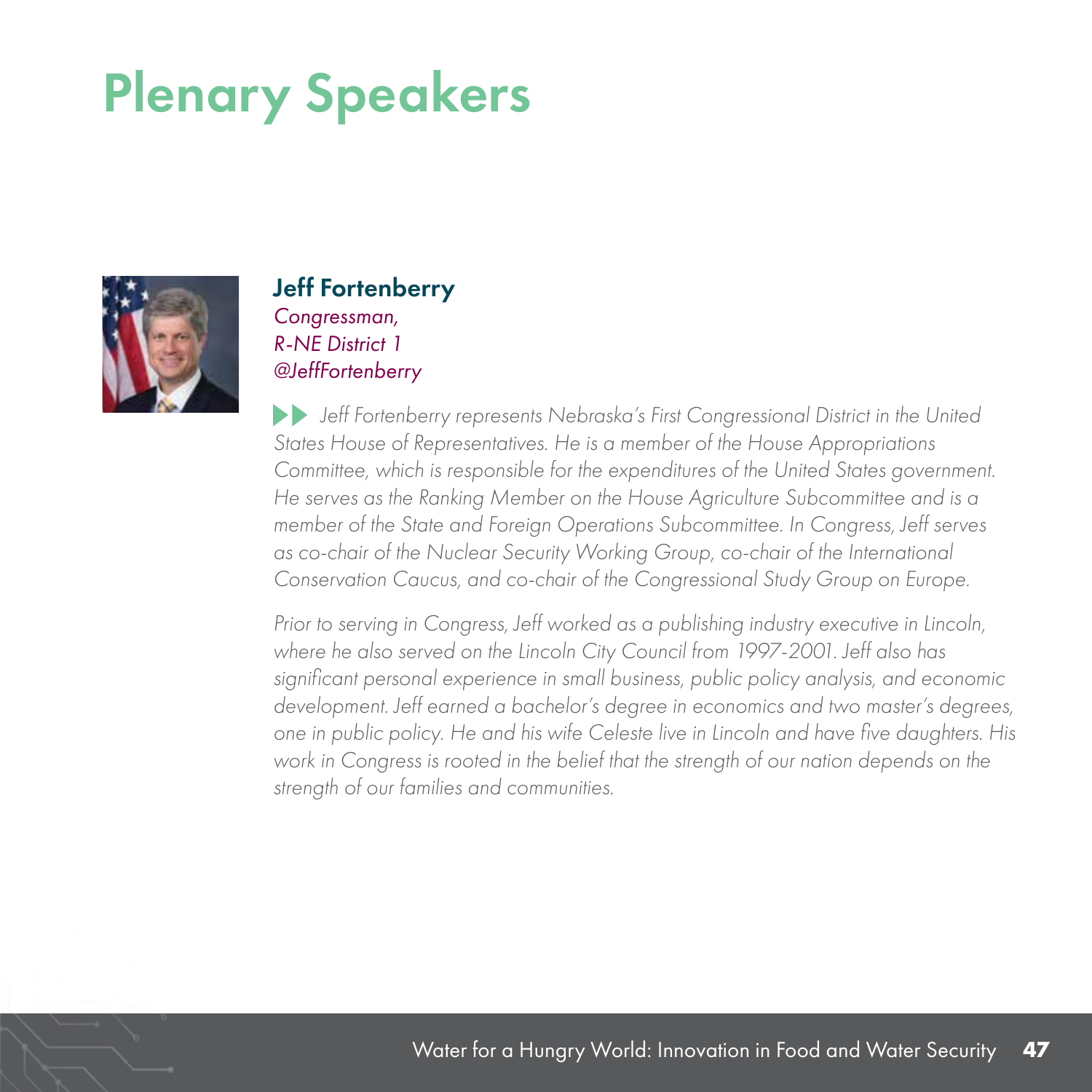

#### Jeff Fortenberry

*Congressman, R-NE District 1 @JeffFortenberry*

 *Jeff Fortenberry represents Nebraska's First Congressional District in the United States House of Representatives. He is a member of the House Appropriations Committee, which is responsible for the expenditures of the United States government. He serves as the Ranking Member on the House Agriculture Subcommittee and is a member of the State and Foreign Operations Subcommittee. In Congress, Jeff serves as co-chair of the Nuclear Security Working Group, co-chair of the International Conservation Caucus, and co-chair of the Congressional Study Group on Europe.*

*Prior to serving in Congress, Jeff worked as a publishing industry executive in Lincoln, where he also served on the Lincoln City Council from 1997-2001. Jeff also has significant personal experience in small business, public policy analysis, and economic development. Jeff earned a bachelor's degree in economics and two master's degrees, one in public policy. He and his wife Celeste live in Lincoln and have five daughters. His work in Congress is rooted in the belief that the strength of our nation depends on the strength of our families and communities.*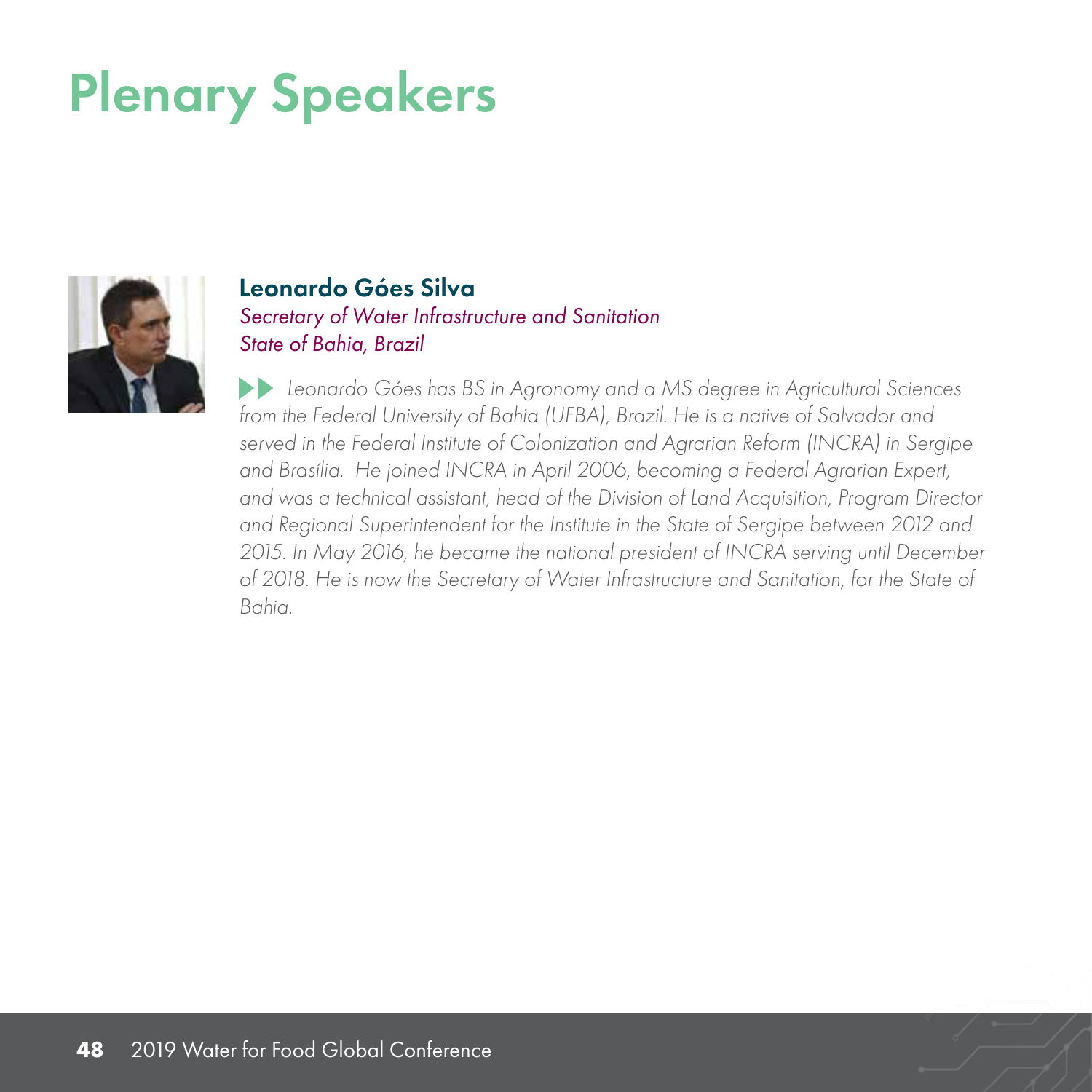

#### Leonardo Góes Silva *Secretary of Water Infrastructure and Sanitation State of Bahia, Brazil*

 *Leonardo Góes has BS in Agronomy and a MS degree in Agricultural Sciences from the Federal University of Bahia (UFBA), Brazil. He is a native of Salvador and served in the Federal Institute of Colonization and Agrarian Reform (INCRA) in Sergipe and Brasília. He joined INCRA in April 2006, becoming a Federal Agrarian Expert, and was a technical assistant, head of the Division of Land Acquisition, Program Director and Regional Superintendent for the Institute in the State of Sergipe between 2012 and 2015. In May 2016, he became the national president of INCRA serving until December of 2018. He is now the Secretary of Water Infrastructure and Sanitation, for the State of Bahia.*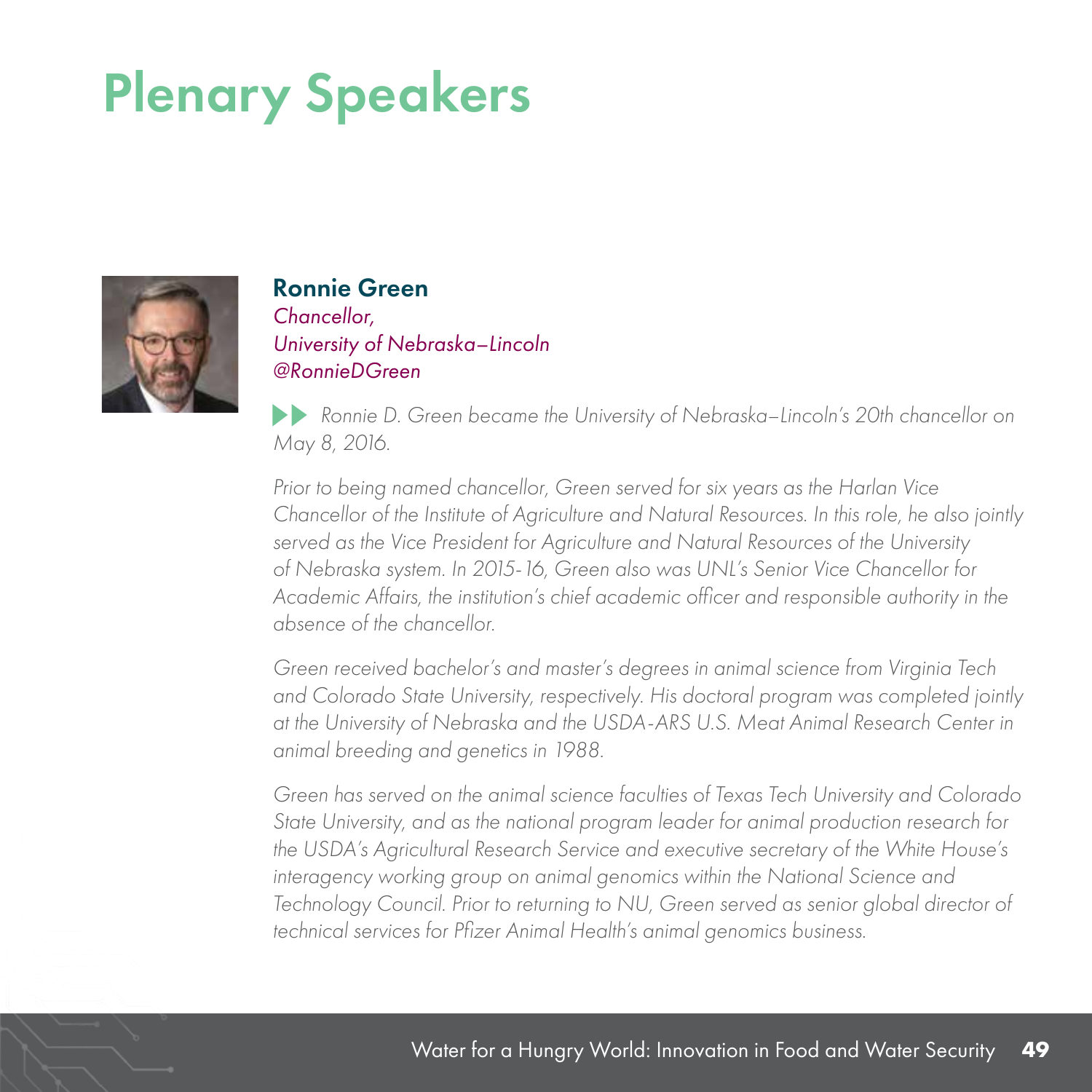

#### Ronnie Green

*Chancellor, University of Nebraska–Lincoln @RonnieDGreen*

*Ronnie D. Green became the University of Nebraska–Lincoln's 20th chancellor on May 8, 2016.*

*Prior to being named chancellor, Green served for six years as the Harlan Vice Chancellor of the Institute of Agriculture and Natural Resources. In this role, he also jointly served as the Vice President for Agriculture and Natural Resources of the University of Nebraska system. In 2015-16, Green also was UNL's Senior Vice Chancellor for Academic Affairs, the institution's chief academic officer and responsible authority in the absence of the chancellor.*

*Green received bachelor's and master's degrees in animal science from Virginia Tech and Colorado State University, respectively. His doctoral program was completed jointly at the University of Nebraska and the USDA-ARS U.S. Meat Animal Research Center in animal breeding and genetics in 1988.*

*Green has served on the animal science faculties of Texas Tech University and Colorado State University, and as the national program leader for animal production research for the USDA's Agricultural Research Service and executive secretary of the White House's interagency working group on animal genomics within the National Science and Technology Council. Prior to returning to NU, Green served as senior global director of technical services for Pfizer Animal Health's animal genomics business.*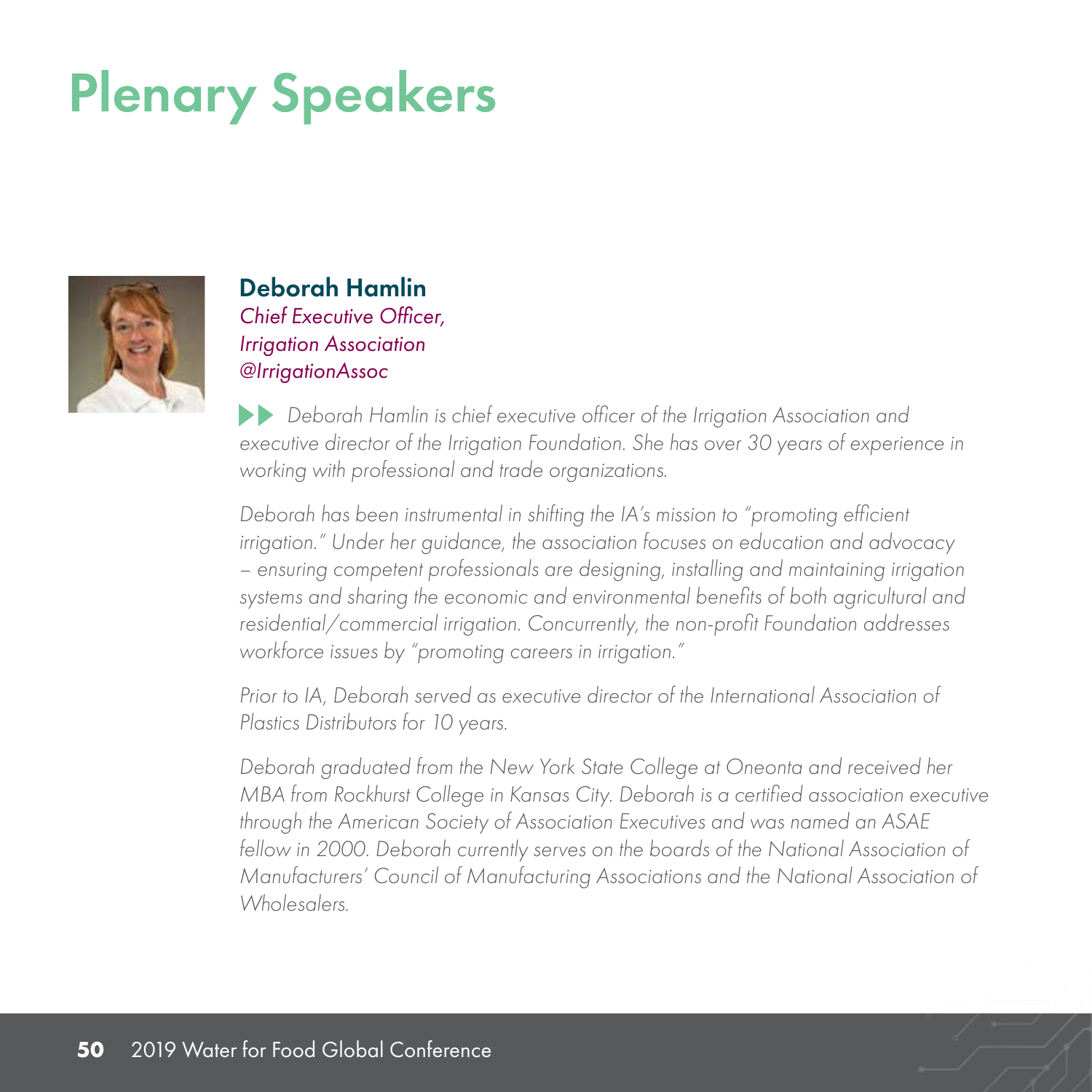

Deborah Hamlin *Chief Executive Officer, Irrigation Association @IrrigationAssoc*

 *Deborah Hamlin is chief executive officer of the Irrigation Association and executive director of the Irrigation Foundation. She has over 30 years of experience in working with professional and trade organizations.* 

*Deborah has been instrumental in shifting the IA's mission to "promoting efficient irrigation." Under her guidance, the association focuses on education and advocacy – ensuring competent professionals are designing, installing and maintaining irrigation systems and sharing the economic and environmental benefits of both agricultural and residential/commercial irrigation. Concurrently, the non-profit Foundation addresses workforce issues by "promoting careers in irrigation."*

*Prior to IA, Deborah served as executive director of the International Association of Plastics Distributors for 10 years.* 

*Deborah graduated from the New York State College at Oneonta and received her MBA from Rockhurst College in Kansas City. Deborah is a certified association executive through the American Society of Association Executives and was named an ASAE fellow in 2000. Deborah currently serves on the boards of the National Association of Manufacturers' Council of Manufacturing Associations and the National Association of Wholesalers.*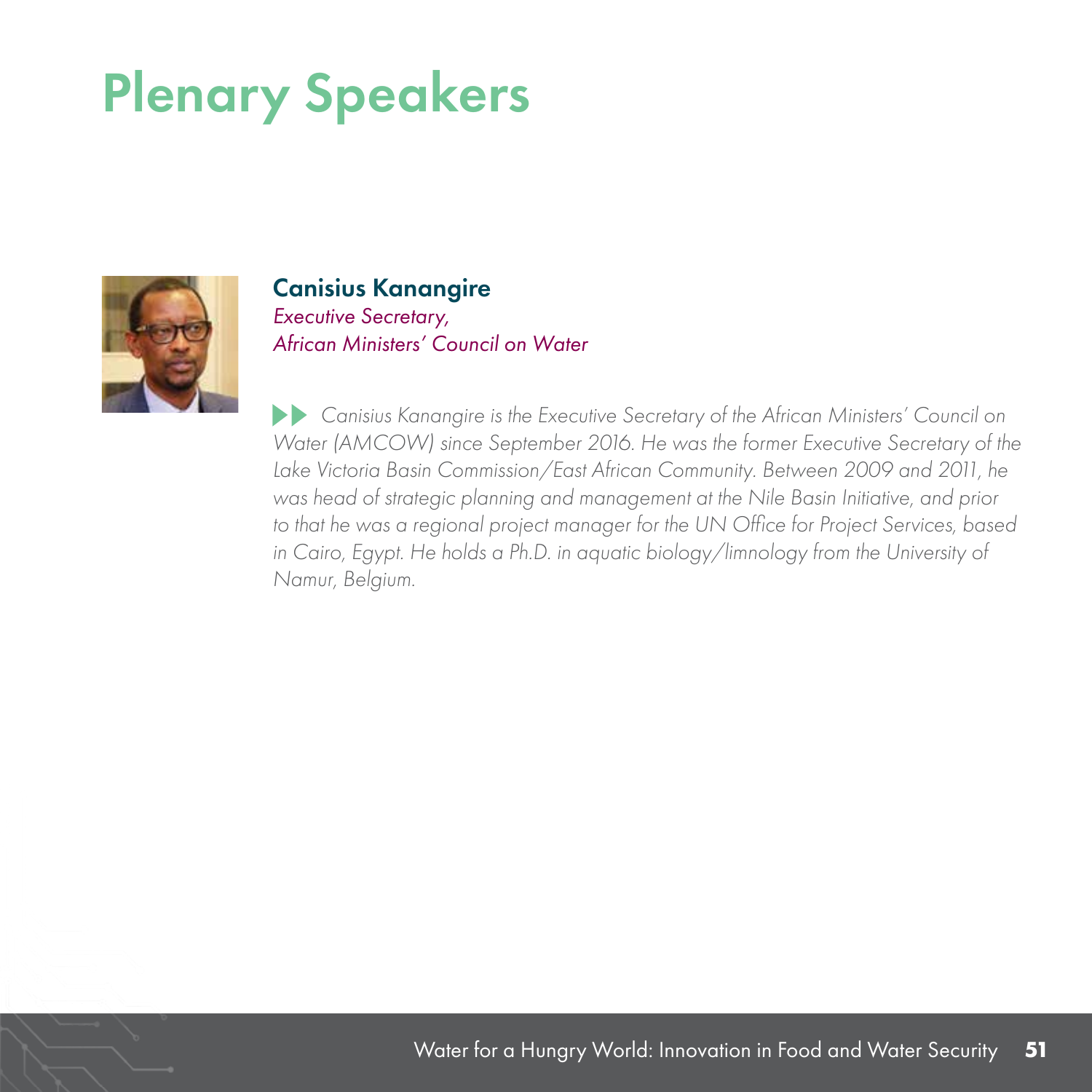

#### Canisius Kanangire

*Executive Secretary, African Ministers' Council on Water*

 *Canisius Kanangire is the Executive Secretary of the African Ministers' Council on Water (AMCOW) since September 2016. He was the former Executive Secretary of the Lake Victoria Basin Commission/East African Community. Between 2009 and 2011, he was head of strategic planning and management at the Nile Basin Initiative, and prior to that he was a regional project manager for the UN Office for Project Services, based*  in Cairo, Egypt. He holds a Ph.D. in aquatic biology/limnology from the University of *Namur, Belgium.*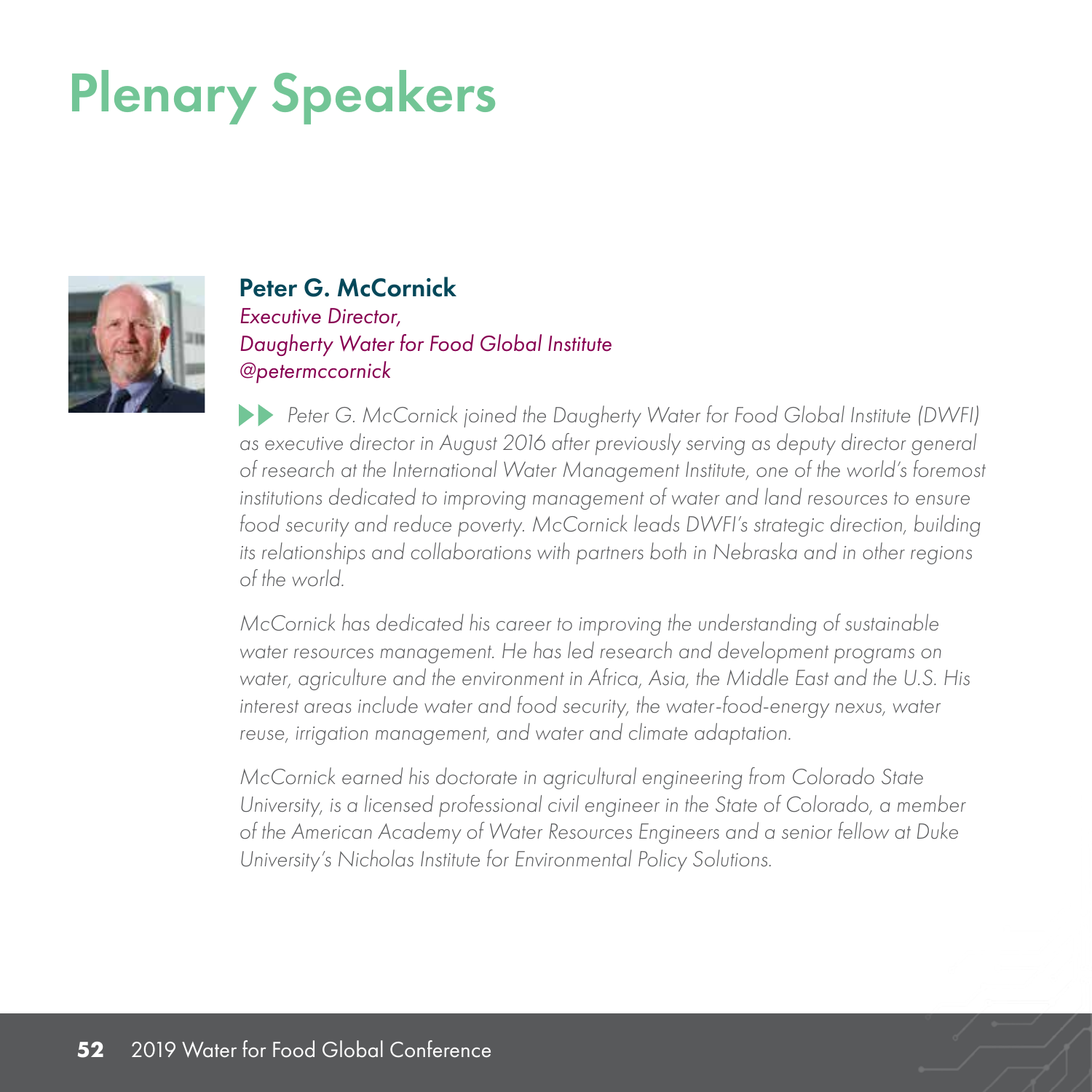

#### Peter G. McCornick

*Executive Director, Daugherty Water for Food Global Institute @petermccornick*

*Peter G. McCornick joined the Daugherty Water for Food Global Institute (DWFI) as executive director in August 2016 after previously serving as deputy director general of research at the International Water Management Institute, one of the world's foremost institutions dedicated to improving management of water and land resources to ensure food security and reduce poverty. McCornick leads DWFI's strategic direction, building its relationships and collaborations with partners both in Nebraska and in other regions of the world.*

*McCornick has dedicated his career to improving the understanding of sustainable water resources management. He has led research and development programs on water, agriculture and the environment in Africa, Asia, the Middle East and the U.S. His interest areas include water and food security, the water-food-energy nexus, water reuse, irrigation management, and water and climate adaptation.*

*McCornick earned his doctorate in agricultural engineering from Colorado State University, is a licensed professional civil engineer in the State of Colorado, a member of the American Academy of Water Resources Engineers and a senior fellow at Duke University's Nicholas Institute for Environmental Policy Solutions.*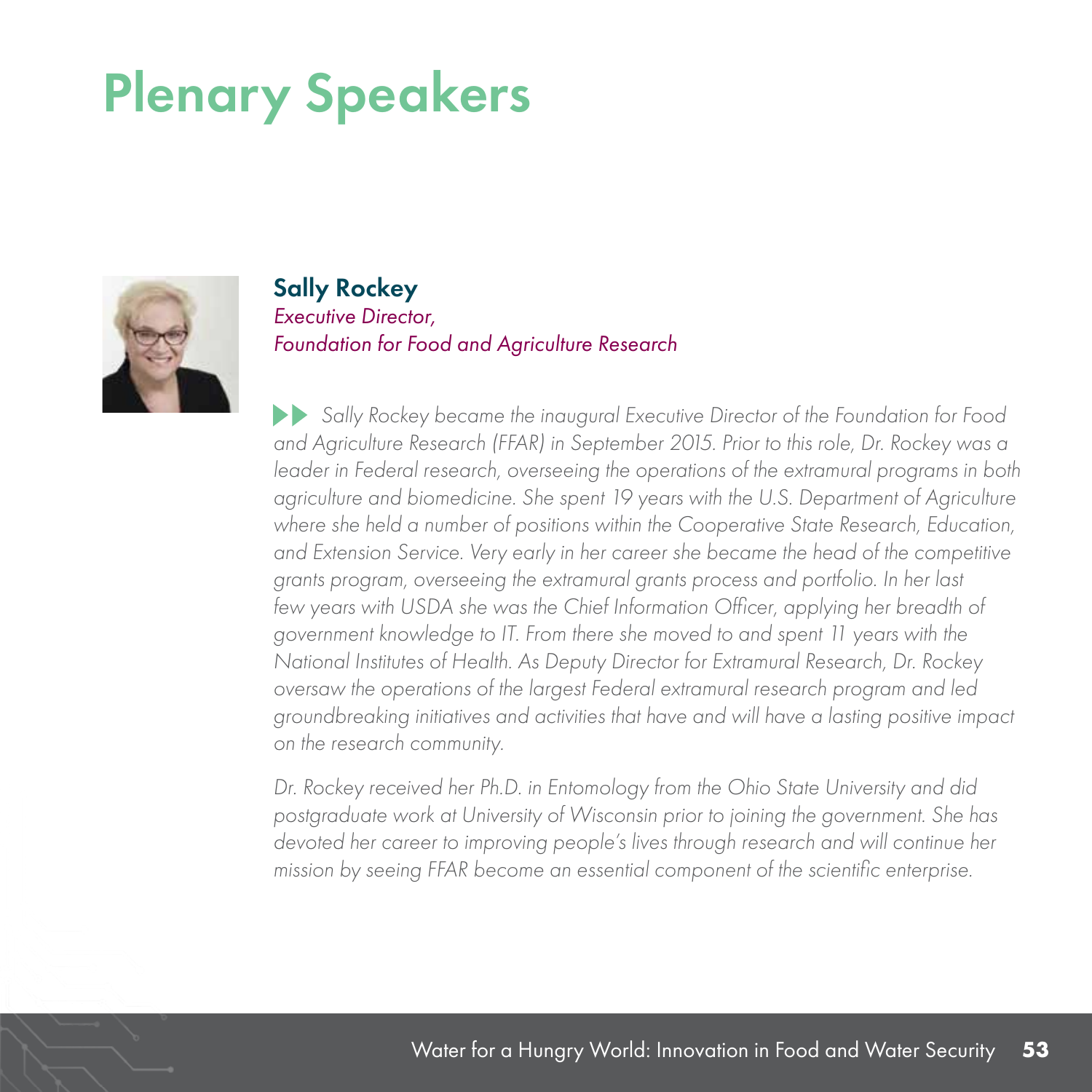

#### Sally Rockey *Executive Director, Foundation for Food and Agriculture Research*

 *Sally Rockey became the inaugural Executive Director of the Foundation for Food and Agriculture Research (FFAR) in September 2015. Prior to this role, Dr. Rockey was a leader in Federal research, overseeing the operations of the extramural programs in both agriculture and biomedicine. She spent 19 years with the U.S. Department of Agriculture where she held a number of positions within the Cooperative State Research, Education, and Extension Service. Very early in her career she became the head of the competitive grants program, overseeing the extramural grants process and portfolio. In her last*  few years with USDA she was the Chief Information Officer, applying her breadth of *government knowledge to IT. From there she moved to and spent 11 years with the National Institutes of Health. As Deputy Director for Extramural Research, Dr. Rockey oversaw the operations of the largest Federal extramural research program and led groundbreaking initiatives and activities that have and will have a lasting positive impact on the research community.*

*Dr. Rockey received her Ph.D. in Entomology from the Ohio State University and did postgraduate work at University of Wisconsin prior to joining the government. She has devoted her career to improving people's lives through research and will continue her mission by seeing FFAR become an essential component of the scientific enterprise.*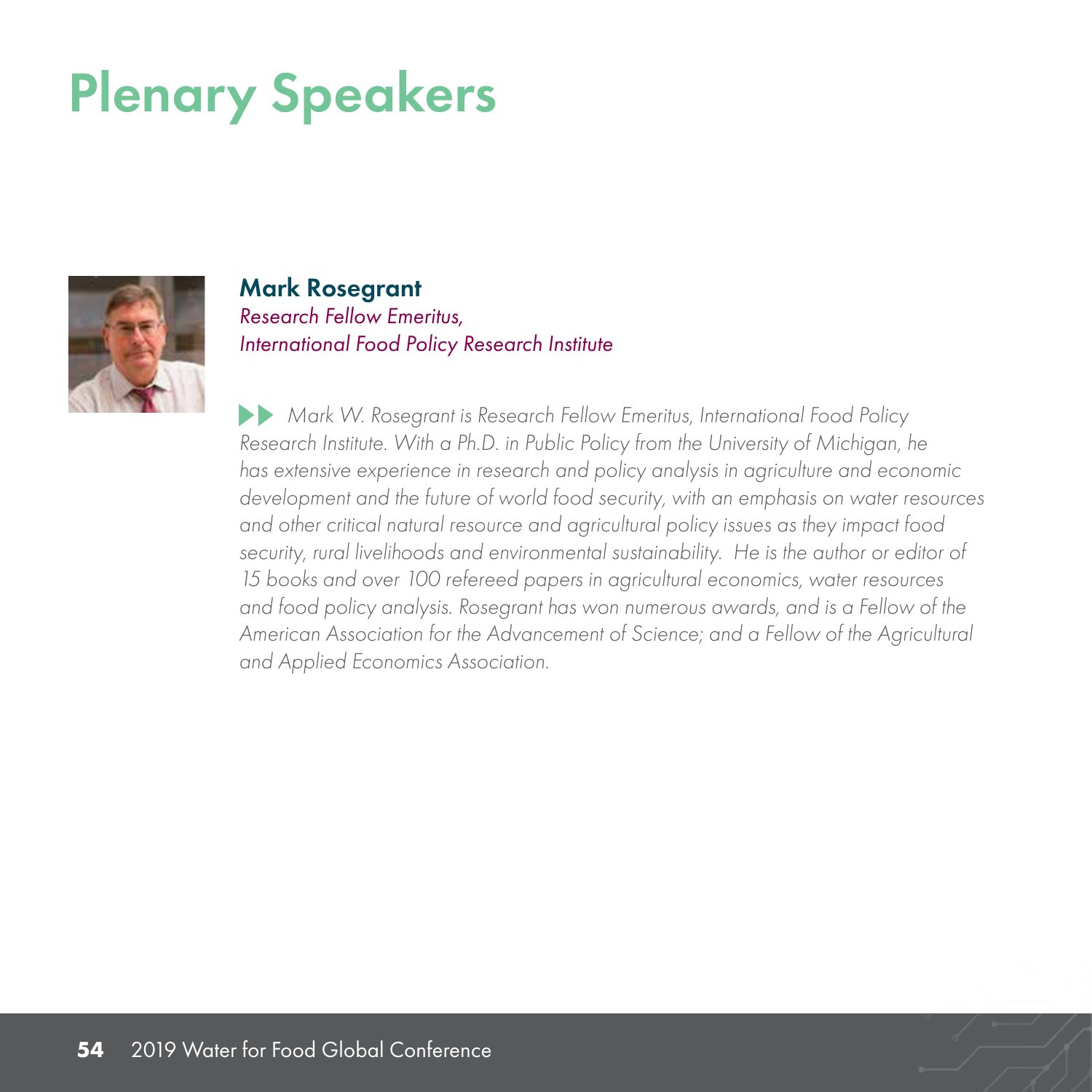

Mark Rosegrant *Research Fellow Emeritus, International Food Policy Research Institute*

 *Mark W. Rosegrant is Research Fellow Emeritus, International Food Policy Research Institute. With a Ph.D. in Public Policy from the University of Michigan, he has extensive experience in research and policy analysis in agriculture and economic development and the future of world food security, with an emphasis on water resources and other critical natural resource and agricultural policy issues as they impact food security, rural livelihoods and environmental sustainability. He is the author or editor of 15 books and over 100 refereed papers in agricultural economics, water resources and food policy analysis. Rosegrant has won numerous awards, and is a Fellow of the American Association for the Advancement of Science; and a Fellow of the Agricultural and Applied Economics Association.*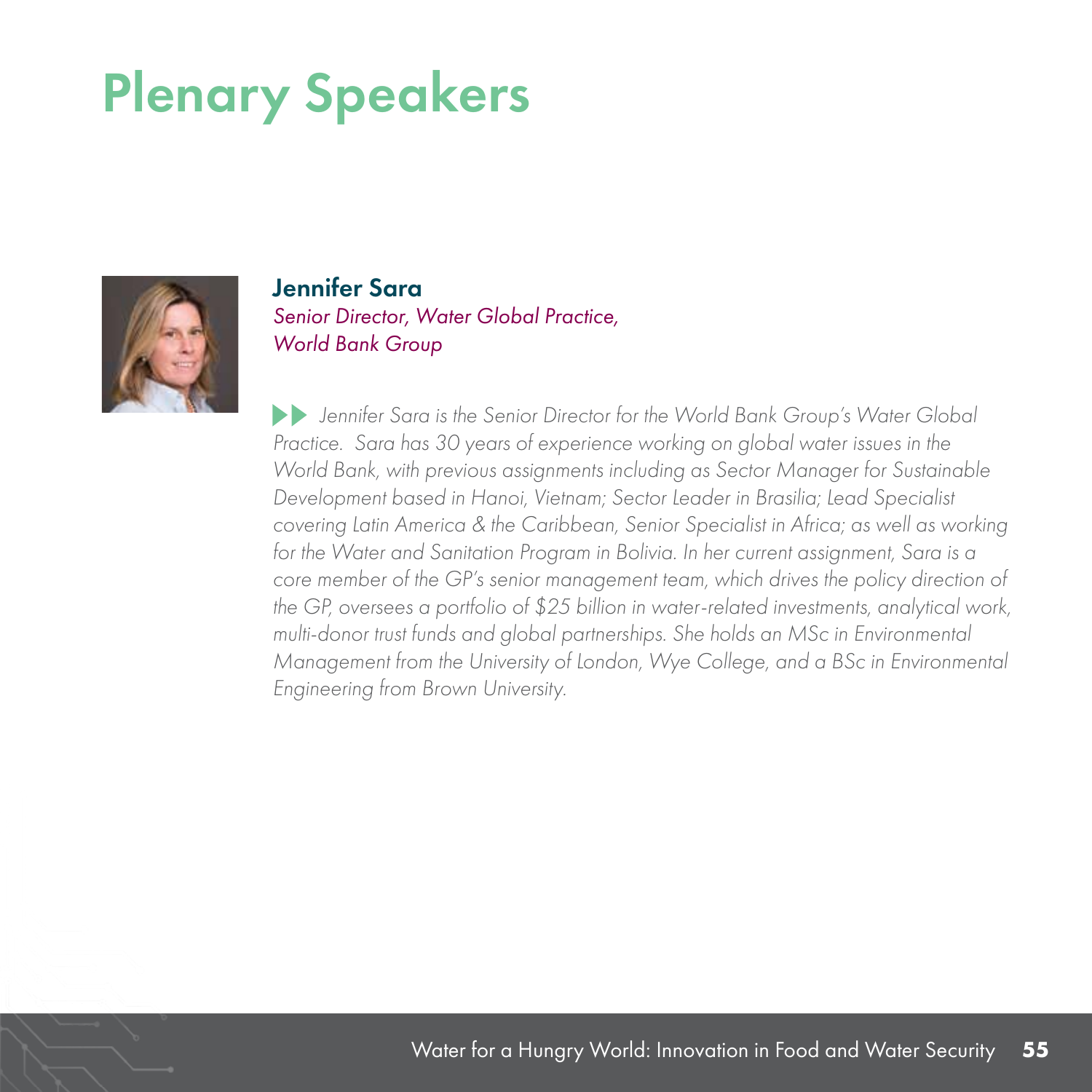

Jennifer Sara *Senior Director, Water Global Practice, World Bank Group*

 *Jennifer Sara is the Senior Director for the World Bank Group's Water Global Practice.* Sara has 30 years of experience working on global water issues in the *World Bank, with previous assignments including as Sector Manager for Sustainable Development based in Hanoi, Vietnam; Sector Leader in Brasilia; Lead Specialist covering Latin America & the Caribbean, Senior Specialist in Africa; as well as working*  for the Water and Sanitation Program in Bolivia. In her current assignment, Sara is a *core member of the GP's senior management team, which drives the policy direction of the GP, oversees a portfolio of \$25 billion in water-related investments, analytical work, multi-donor trust funds and global partnerships. She holds an MSc in Environmental Management from the University of London, Wye College, and a BSc in Environmental Engineering from Brown University.*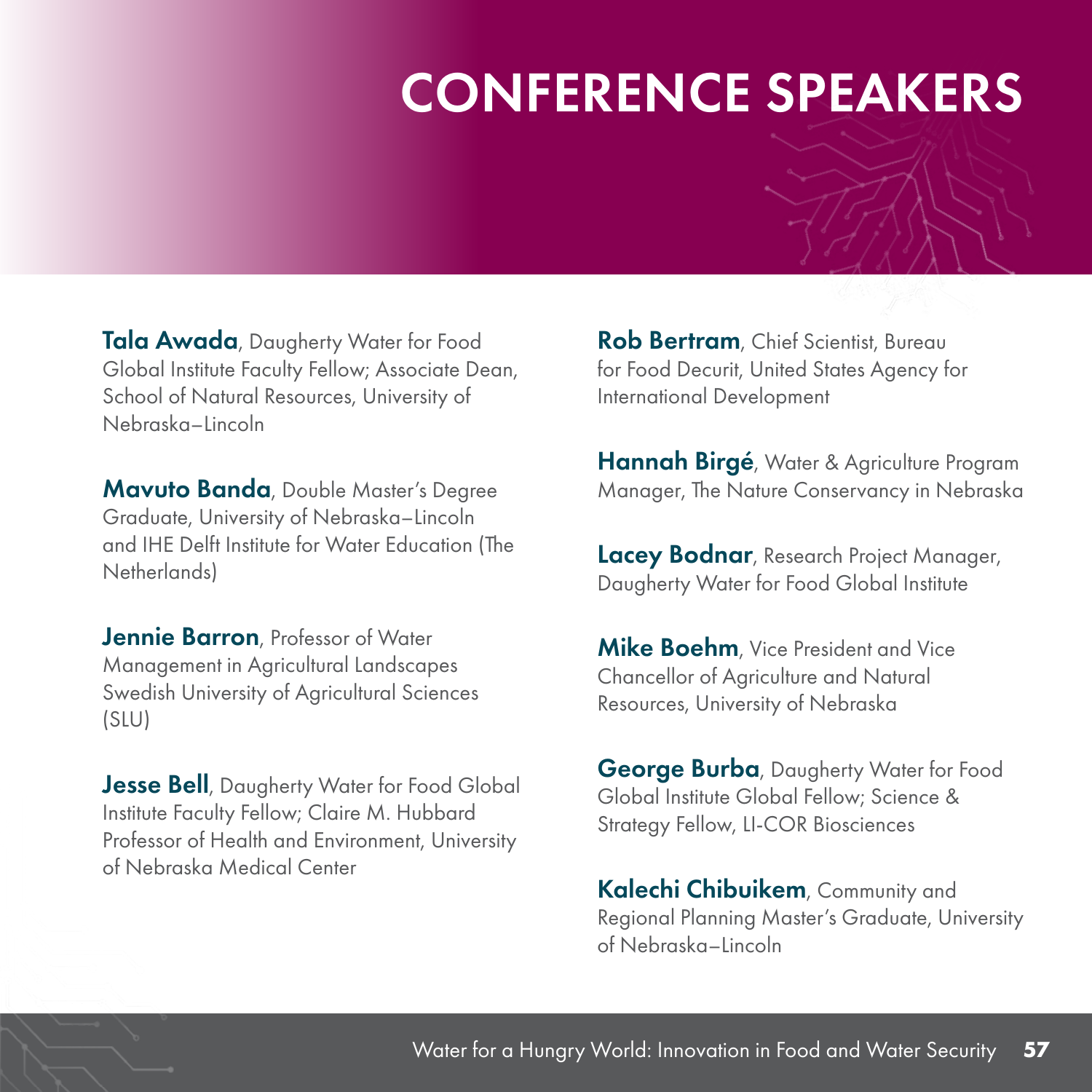#### CONFERENCE SPEAKERS

Tala Awada, Daugherty Water for Food Global Institute Faculty Fellow; Associate Dean, School of Natural Resources, University of Nebraska–Lincoln

Mavuto Banda, Double Master's Degree Graduate, University of Nebraska–Lincoln and IHE Delft Institute for Water Education (The Netherlands)

Jennie Barron, Professor of Water Management in Agricultural Landscapes Swedish University of Agricultural Sciences (SLU)

**Jesse Bell**, Daugherty Water for Food Global Institute Faculty Fellow; Claire M. Hubbard Professor of Health and Environment, University of Nebraska Medical Center

Rob Bertram, Chief Scientist, Bureau for Food Decurit, United States Agency for International Development

Hannah Birgé, Water & Agriculture Program Manager, The Nature Conservancy in Nebraska

Lacey Bodnar, Research Project Manager, Daugherty Water for Food Global Institute

**Mike Boehm**, Vice President and Vice Chancellor of Agriculture and Natural Resources, University of Nebraska

**George Burba**, Daugherty Water for Food Global Institute Global Fellow; Science & Strategy Fellow, LI-COR Biosciences

Kalechi Chibuikem, Community and Regional Planning Master's Graduate, University of Nebraska–Lincoln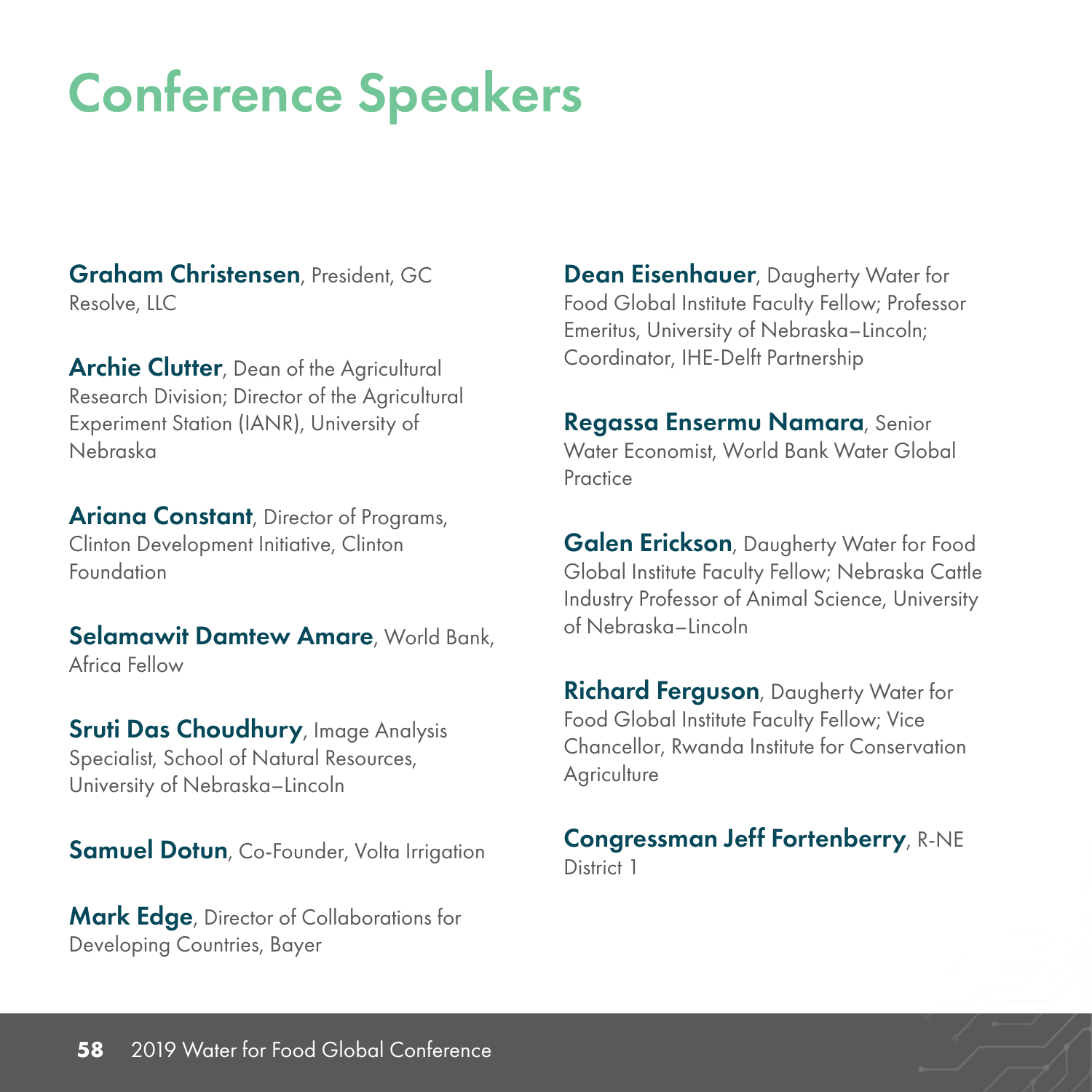Graham Christensen, President, GC Resolve, LLC

**Archie Clutter**, Dean of the Agricultural Research Division; Director of the Agricultural Experiment Station (IANR), University of Nebraska

**Ariana Constant**, Director of Programs, Clinton Development Initiative, Clinton Foundation

Selamawit Damtew Amare, World Bank, Africa Fellow

Sruti Das Choudhury, Image Analysis Specialist, School of Natural Resources, University of Nebraska–Lincoln

**Samuel Dotun, Co-Founder, Volta Irrigation** 

Mark Edge, Director of Collaborations for Developing Countries, Bayer

**Dean Eisenhauer**, Daugherty Water for Food Global Institute Faculty Fellow; Professor Emeritus, University of Nebraska–Lincoln; Coordinator, IHE-Delft Partnership

Regassa Ensermu Namara, Senior Water Economist, World Bank Water Global **Practice** 

Galen Erickson, Daugherty Water for Food Global Institute Faculty Fellow; Nebraska Cattle Industry Professor of Animal Science, University of Nebraska–Lincoln

**Richard Ferguson**, Daugherty Water for Food Global Institute Faculty Fellow; Vice Chancellor, Rwanda Institute for Conservation **Agriculture** 

#### Congressman Jeff Fortenberry, R-NE District 1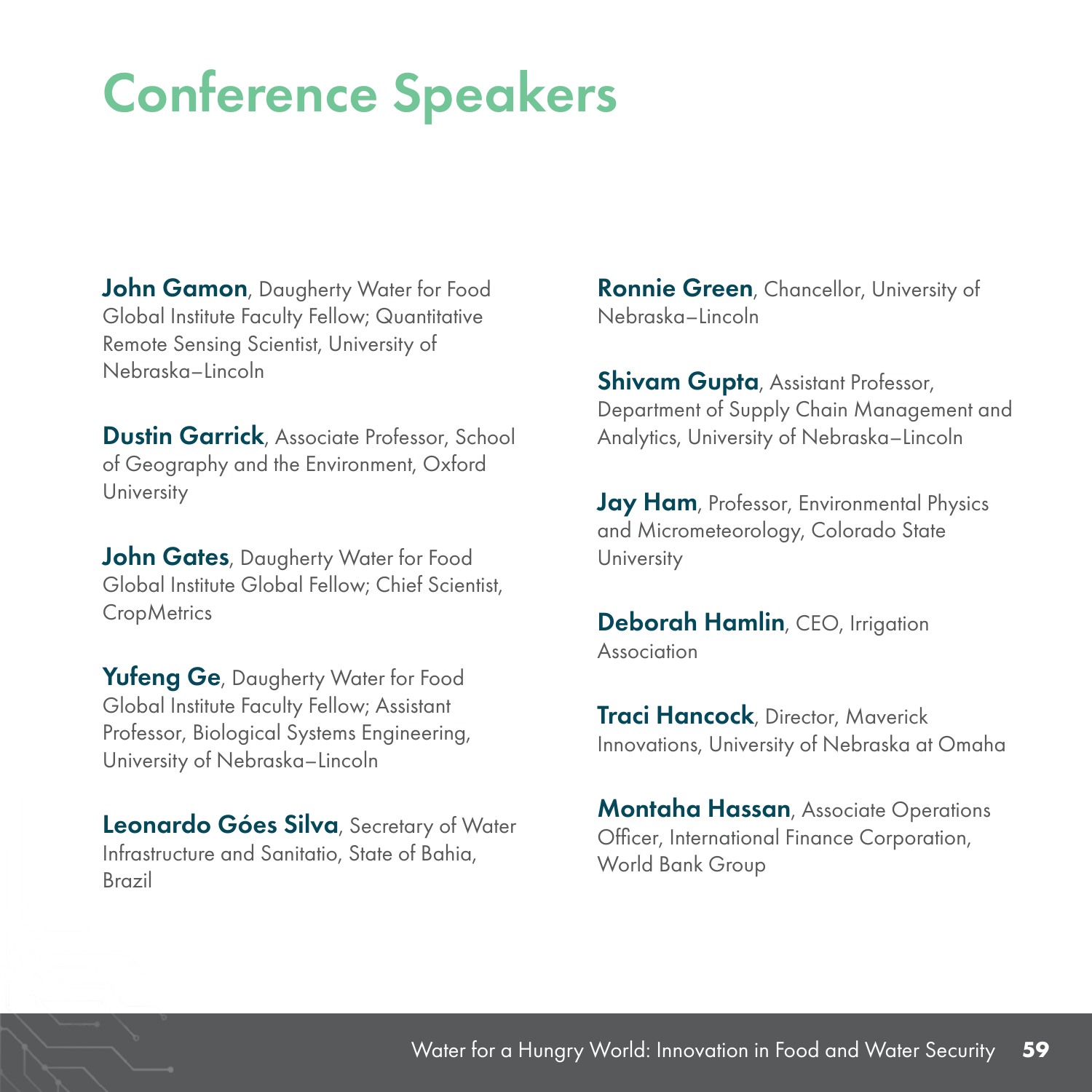John Gamon, Daugherty Water for Food Global Institute Faculty Fellow; Quantitative Remote Sensing Scientist, University of Nebraska–Lincoln

**Dustin Garrick**, Associate Professor, School of Geography and the Environment, Oxford University

**John Gates**, Daugherty Water for Food Global Institute Global Fellow; Chief Scientist, **CropMetrics** 

Yufeng Ge, Daugherty Water for Food Global Institute Faculty Fellow; Assistant Professor, Biological Systems Engineering, University of Nebraska–Lincoln

Leonardo Góes Silva, Secretary of Water Infrastructure and Sanitatio, State of Bahia, Brazil

**Ronnie Green**, Chancellor, University of Nebraska–Lincoln

**Shivam Gupta**, Assistant Professor, Department of Supply Chain Management and Analytics, University of Nebraska–Lincoln

Jay Ham, Professor, Environmental Physics and Micrometeorology, Colorado State University

Deborah Hamlin, CEO, Irrigation Association

**Traci Hancock**, Director, Maverick Innovations, University of Nebraska at Omaha

**Montaha Hassan**, Associate Operations Officer, International Finance Corporation, World Bank Group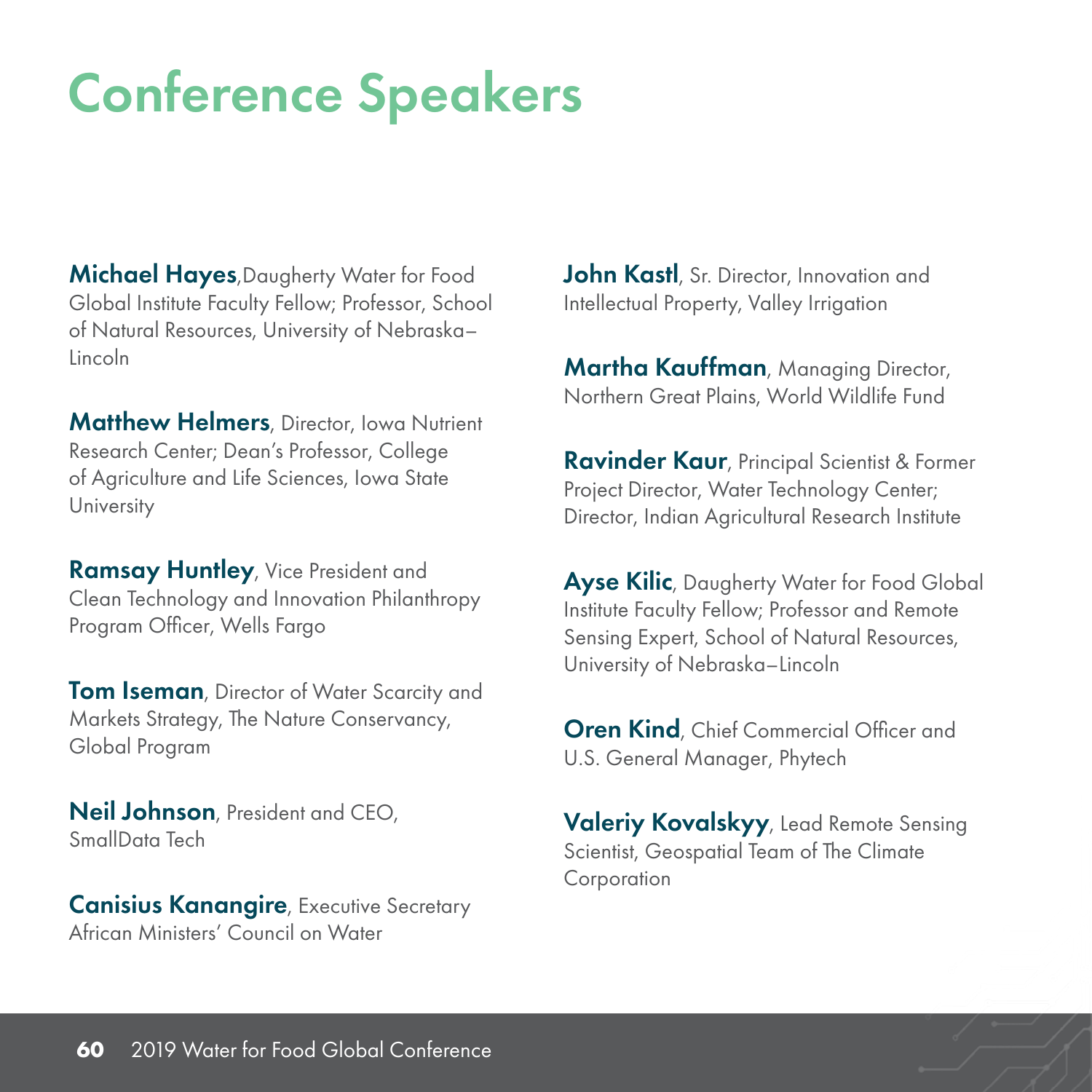**Michael Hayes, Daugherty Water for Food** Global Institute Faculty Fellow; Professor, School of Natural Resources, University of Nebraska– Lincoln

**Matthew Helmers**, Director, Iowa Nutrient Research Center; Dean's Professor, College of Agriculture and Life Sciences, Iowa State **University** 

Ramsay Huntley, Vice President and Clean Technology and Innovation Philanthropy Program Officer, Wells Fargo

**Tom Iseman, Director of Water Scarcity and** Markets Strategy, The Nature Conservancy, Global Program

Neil Johnson, President and CEO, SmallData Tech

**Canisius Kanangire, Executive Secretary** African Ministers' Council on Water

John Kastl, Sr. Director, Innovation and Intellectual Property, Valley Irrigation

**Martha Kauffman**, Managing Director, Northern Great Plains, World Wildlife Fund

**Ravinder Kaur**, Principal Scientist & Former Project Director, Water Technology Center; Director, Indian Agricultural Research Institute

Ayse Kilic, Daugherty Water for Food Global Institute Faculty Fellow; Professor and Remote Sensing Expert, School of Natural Resources, University of Nebraska–Lincoln

**Oren Kind**, Chief Commercial Officer and U.S. General Manager, Phytech

Valeriy Kovalskyy, Lead Remote Sensing Scientist, Geospatial Team of The Climate Corporation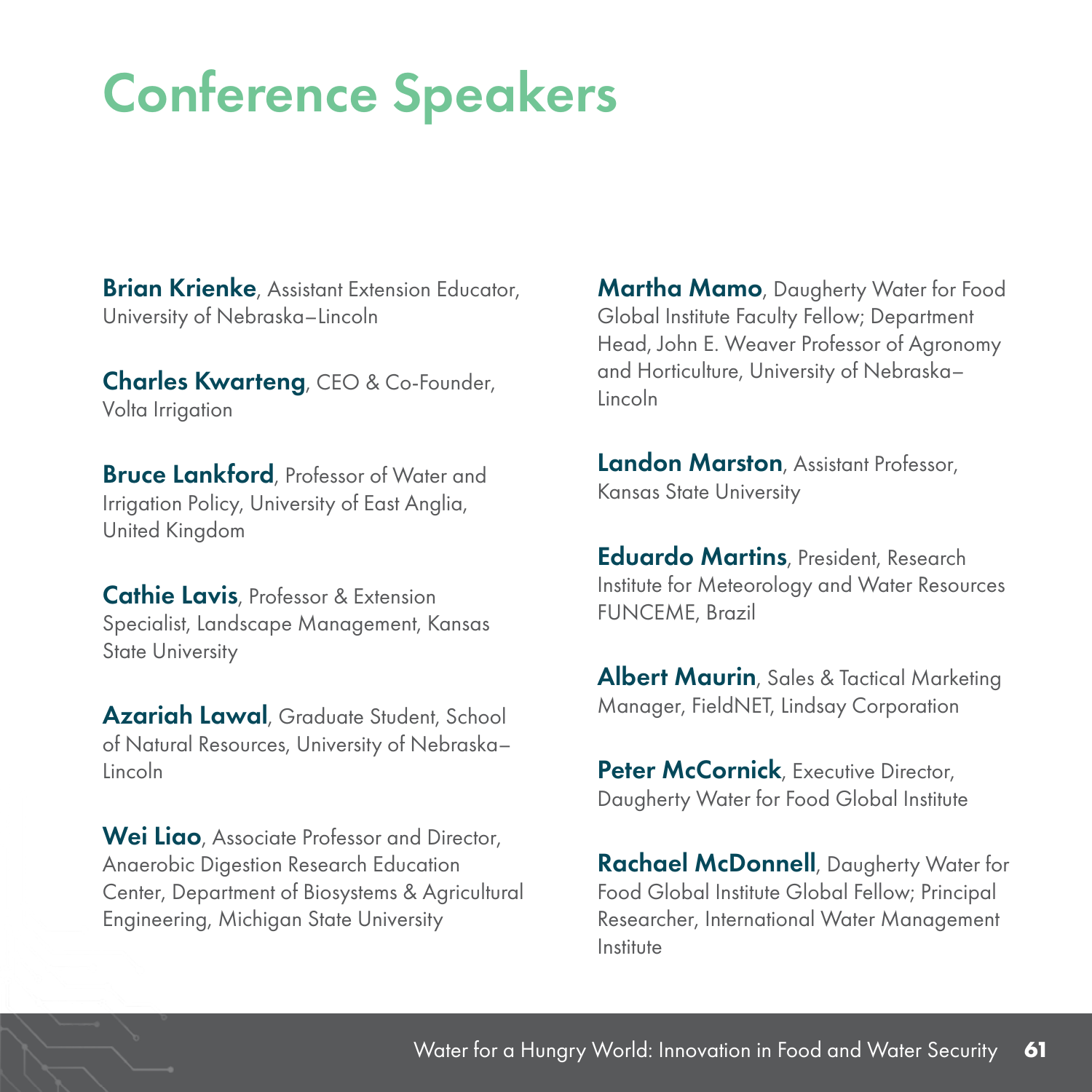**Brian Krienke**, Assistant Extension Educator, University of Nebraska–Lincoln

Charles Kwarteng, CEO & Co-Founder, Volta Irrigation

**Bruce Lankford**, Professor of Water and Irrigation Policy, University of East Anglia, United Kingdom

**Cathie Lavis, Professor & Extension** Specialist, Landscape Management, Kansas State University

Azariah Lawal, Graduate Student, School of Natural Resources, University of Nebraska– Lincoln

Wei Liao, Associate Professor and Director, Anaerobic Digestion Research Education Center, Department of Biosystems & Agricultural Engineering, Michigan State University

**Martha Mamo**, Daugherty Water for Food Global Institute Faculty Fellow; Department Head, John E. Weaver Professor of Agronomy and Horticulture, University of Nebraska– Lincoln

**Landon Marston**, Assistant Professor, Kansas State University

Eduardo Martins, President, Research Institute for Meteorology and Water Resources FUNCEME, Brazil

Albert Maurin, Sales & Tactical Marketing Manager, FieldNET, Lindsay Corporation

Peter McCornick, Executive Director, Daugherty Water for Food Global Institute

Rachael McDonnell, Daugherty Water for Food Global Institute Global Fellow; Principal Researcher, International Water Management Institute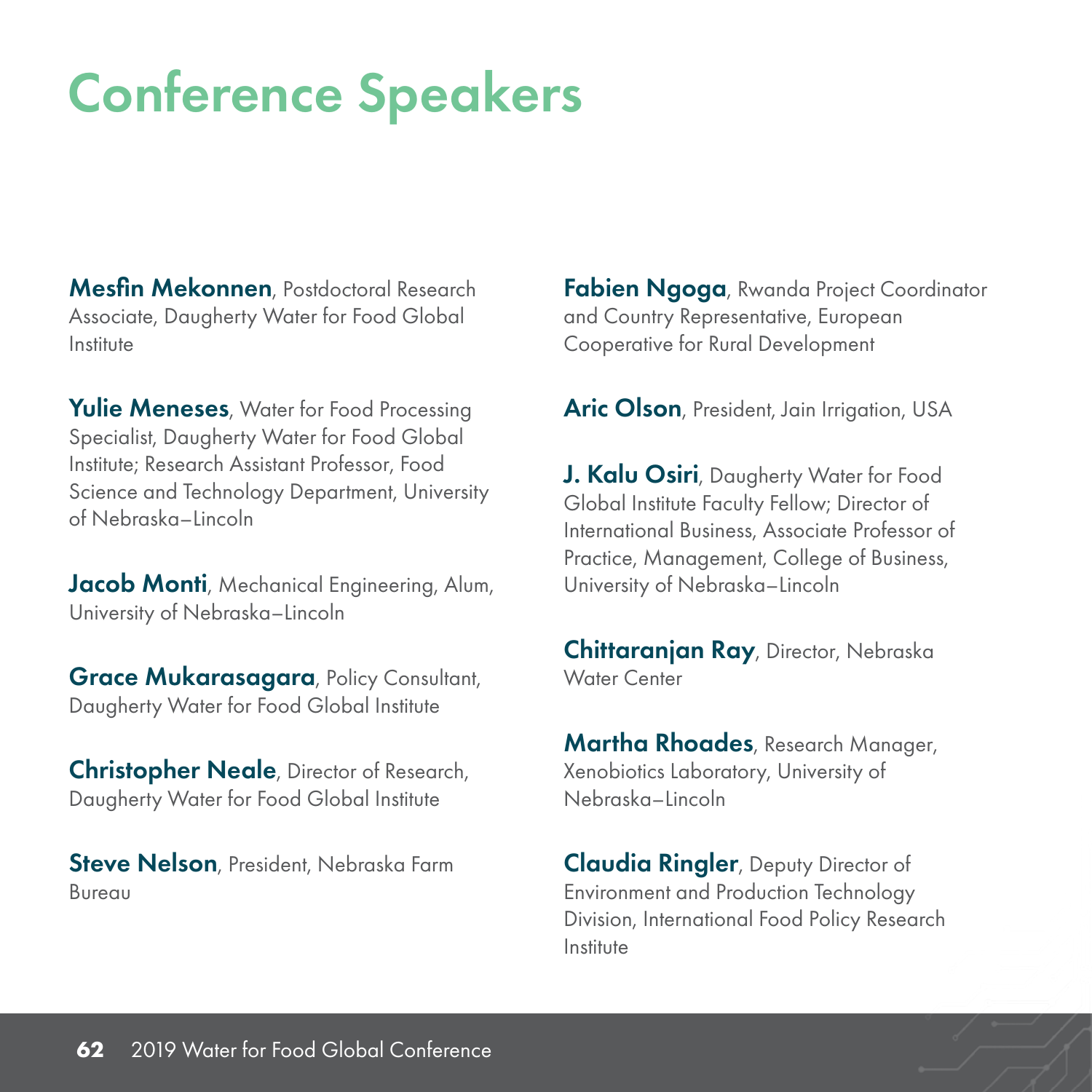Mesfin Mekonnen, Postdoctoral Research Associate, Daugherty Water for Food Global Institute

Yulie Meneses, Water for Food Processing Specialist, Daugherty Water for Food Global Institute; Research Assistant Professor, Food Science and Technology Department, University of Nebraska–Lincoln

**Jacob Monti**, Mechanical Engineering, Alum, University of Nebraska–Lincoln

**Grace Mukarasagara**, Policy Consultant, Daugherty Water for Food Global Institute

Christopher Neale, Director of Research, Daugherty Water for Food Global Institute

Steve Nelson, President, Nebraska Farm Bureau

Fabien Ngoga, Rwanda Project Coordinator and Country Representative, European Cooperative for Rural Development

Aric Olson, President, Jain Irrigation, USA

**J. Kalu Osiri**, Daugherty Water for Food Global Institute Faculty Fellow; Director of International Business, Associate Professor of Practice, Management, College of Business, University of Nebraska–Lincoln

Chittaranjan Ray, Director, Nebraska Water Center

**Martha Rhoades**, Research Manager, Xenobiotics Laboratory, University of Nebraska–Lincoln

Claudia Ringler, Deputy Director of Environment and Production Technology Division, International Food Policy Research Institute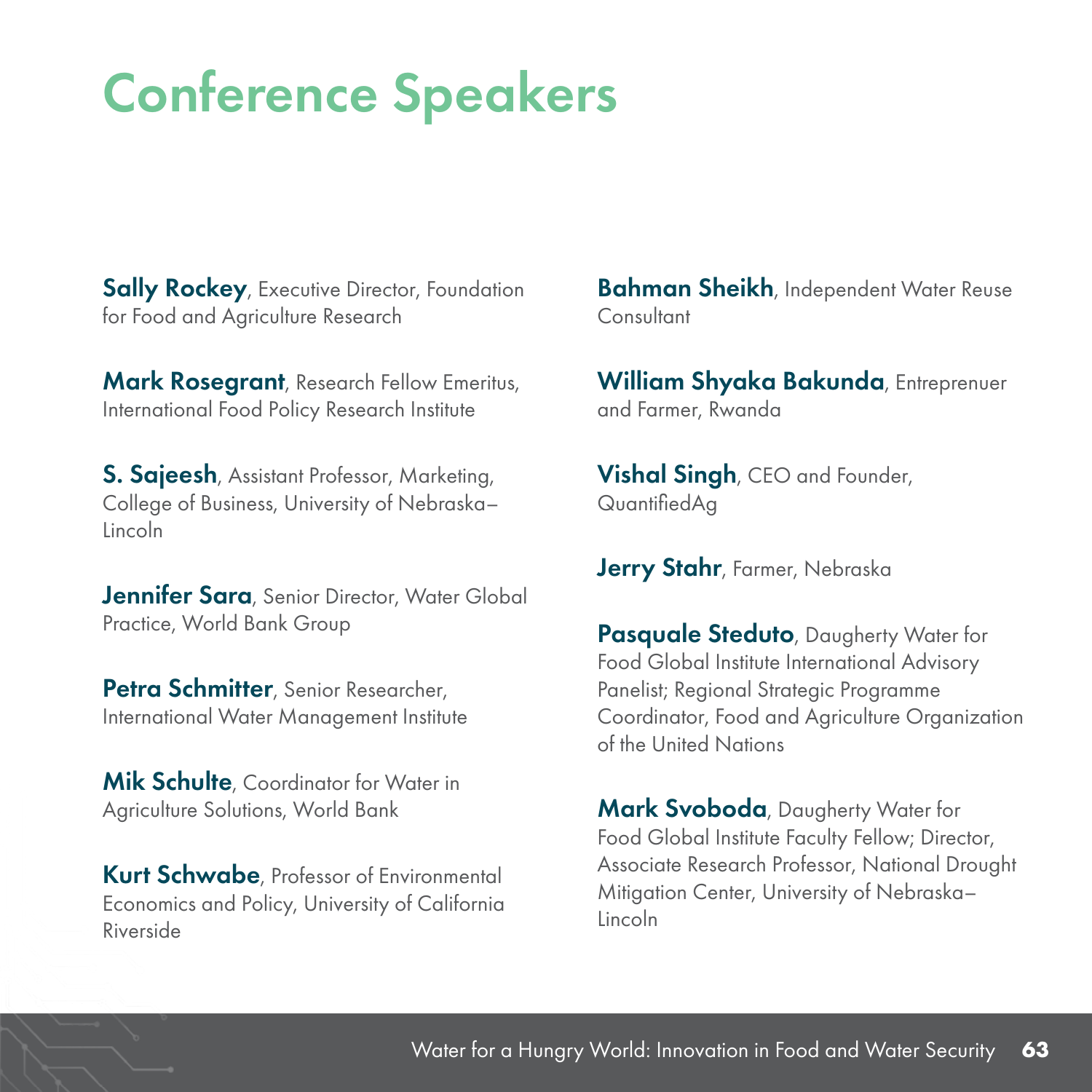**Sally Rockey**, Executive Director, Foundation for Food and Agriculture Research

Mark Rosegrant, Research Fellow Emeritus, International Food Policy Research Institute

**S. Sajeesh**, Assistant Professor, Marketing, College of Business, University of Nebraska– Lincoln

Jennifer Sara, Senior Director, Water Global Practice, World Bank Group

Petra Schmitter, Senior Researcher, International Water Management Institute

**Mik Schulte**, Coordinator for Water in Agriculture Solutions, World Bank

Kurt Schwabe, Professor of Environmental Economics and Policy, University of California Riverside

**Bahman Sheikh**, Independent Water Reuse **Consultant** 

William Shyaka Bakunda, Entreprenuer and Farmer, Rwanda

**Vishal Singh, CEO and Founder,** QuantifiedAg

Jerry Stahr, Farmer, Nebraska

**Pasquale Steduto**, Daugherty Water for Food Global Institute International Advisory Panelist; Regional Strategic Programme Coordinator, Food and Agriculture Organization of the United Nations

Mark Svoboda, Daugherty Water for Food Global Institute Faculty Fellow; Director, Associate Research Professor, National Drought Mitigation Center, University of Nebraska– Lincoln